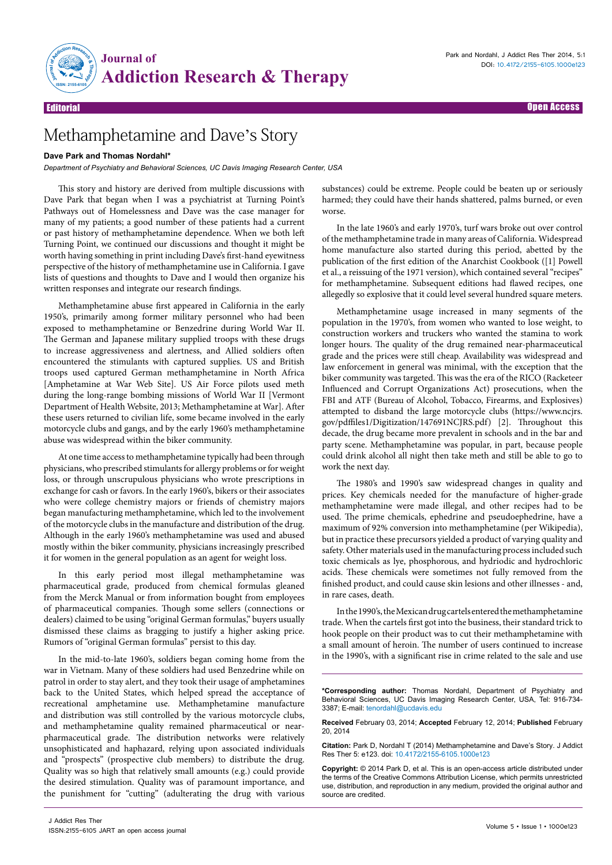

## Editorial Open Access

# Methamphetamine and Dave's Story

#### **Dave Park and Thomas Nordahl\***

*Department of Psychiatry and Behavioral Sciences, UC Davis Imaging Research Center, USA*

This story and history are derived from multiple discussions with Dave Park that began when I was a psychiatrist at Turning Point's Pathways out of Homelessness and Dave was the case manager for many of my patients; a good number of these patients had a current or past history of methamphetamine dependence. When we both left Turning Point, we continued our discussions and thought it might be worth having something in print including Dave's first-hand eyewitness perspective of the history of methamphetamine use in California. I gave lists of questions and thoughts to Dave and I would then organize his written responses and integrate our research findings.

Methamphetamine abuse first appeared in California in the early 1950's, primarily among former military personnel who had been exposed to methamphetamine or Benzedrine during World War II. The German and Japanese military supplied troops with these drugs to increase aggressiveness and alertness, and Allied soldiers often encountered the stimulants with captured supplies. US and British troops used captured German methamphetamine in North Africa [Amphetamine at War Web Site]. US Air Force pilots used meth during the long-range bombing missions of World War II [Vermont Department of Health Website, 2013; Methamphetamine at War]. After these users returned to civilian life, some became involved in the early motorcycle clubs and gangs, and by the early 1960's methamphetamine abuse was widespread within the biker community.

At one time access to methamphetamine typically had been through physicians, who prescribed stimulants for allergy problems or for weight loss, or through unscrupulous physicians who wrote prescriptions in exchange for cash or favors. In the early 1960's, bikers or their associates who were college chemistry majors or friends of chemistry majors began manufacturing methamphetamine, which led to the involvement of the motorcycle clubs in the manufacture and distribution of the drug. Although in the early 1960's methamphetamine was used and abused mostly within the biker community, physicians increasingly prescribed it for women in the general population as an agent for weight loss.

In this early period most illegal methamphetamine was pharmaceutical grade, produced from chemical formulas gleaned from the Merck Manual or from information bought from employees of pharmaceutical companies. Though some sellers (connections or dealers) claimed to be using "original German formulas," buyers usually dismissed these claims as bragging to justify a higher asking price. Rumors of "original German formulas" persist to this day.

In the mid-to-late 1960's, soldiers began coming home from the war in Vietnam. Many of these soldiers had used Benzedrine while on patrol in order to stay alert, and they took their usage of amphetamines back to the United States, which helped spread the acceptance of recreational amphetamine use. Methamphetamine manufacture and distribution was still controlled by the various motorcycle clubs, and methamphetamine quality remained pharmaceutical or nearpharmaceutical grade. The distribution networks were relatively unsophisticated and haphazard, relying upon associated individuals and "prospects" (prospective club members) to distribute the drug. Quality was so high that relatively small amounts (e.g.) could provide the desired stimulation. Quality was of paramount importance, and the punishment for "cutting" (adulterating the drug with various

substances) could be extreme. People could be beaten up or seriously harmed; they could have their hands shattered, palms burned, or even worse.

In the late 1960's and early 1970's, turf wars broke out over control of the methamphetamine trade in many areas of California. Widespread home manufacture also started during this period, abetted by the publication of the first edition of the Anarchist Cookbook ([1] Powell et al., a reissuing of the 1971 version), which contained several "recipes" for methamphetamine. Subsequent editions had flawed recipes, one allegedly so explosive that it could level several hundred square meters.

Methamphetamine usage increased in many segments of the population in the 1970's, from women who wanted to lose weight, to construction workers and truckers who wanted the stamina to work longer hours. The quality of the drug remained near-pharmaceutical grade and the prices were still cheap. Availability was widespread and law enforcement in general was minimal, with the exception that the biker community was targeted. This was the era of the RICO (Racketeer Influenced and Corrupt Organizations Act) prosecutions, when the FBI and ATF (Bureau of Alcohol, Tobacco, Firearms, and Explosives) attempted to disband the large motorcycle clubs [\(https://www.ncjrs.](https://www.ncjrs.gov/pdffiles1/Digitization/147691NCJRS.pdf) [gov/pdffiles1/Digitization/147691NCJRS.pdf\)](https://www.ncjrs.gov/pdffiles1/Digitization/147691NCJRS.pdf) [2]. Throughout this decade, the drug became more prevalent in schools and in the bar and party scene. Methamphetamine was popular, in part, because people could drink alcohol all night then take meth and still be able to go to work the next day.

The 1980's and 1990's saw widespread changes in quality and prices. Key chemicals needed for the manufacture of higher-grade methamphetamine were made illegal, and other recipes had to be used. The prime chemicals, ephedrine and pseudoephedrine, have a maximum of 92% conversion into methamphetamine (per Wikipedia), but in practice these precursors yielded a product of varying quality and safety. Other materials used in the manufacturing process included such toxic chemicals as lye, phosphorous, and hydriodic and hydrochloric acids. These chemicals were sometimes not fully removed from the finished product, and could cause skin lesions and other illnesses - and, in rare cases, death.

In the 1990's, the Mexican drug cartels entered the methamphetamine trade. When the cartels first got into the business, their standard trick to hook people on their product was to cut their methamphetamine with a small amount of heroin. The number of users continued to increase in the 1990's, with a significant rise in crime related to the sale and use

**\*Corresponding author:** Thomas Nordahl, Department of Psychiatry and Behavioral Sciences, UC Davis Imaging Research Center, USA, Tel: 916-734- 3387; E-mail: tenordahl@ucdavis.edu

**Received** February 03, 2014; **Accepted** February 12, 2014; **Published** February 20, 2014

**Citation:** Park D, Nordahl T (2014) Methamphetamine and Dave's Story. J Addict Res Ther 5: e123. doi: 10.4172/2155-6105.1000e123

**Copyright:** © 2014 Park D, et al. This is an open-access article distributed under the terms of the Creative Commons Attribution License, which permits unrestricted use, distribution, and reproduction in any medium, provided the original author and source are credited.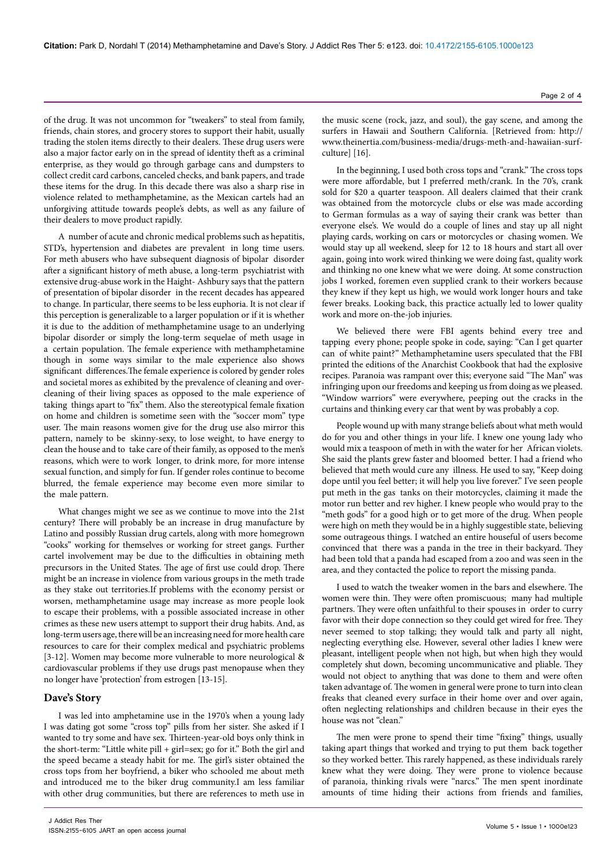**Citation:** Park D, Nordahl T (2014) Methamphetamine and Dave's Story. J Addict Res Ther 5: e123. doi: 10.4172/2155-6105.1000e123

of the drug. It was not uncommon for "tweakers" to steal from family, friends, chain stores, and grocery stores to support their habit, usually trading the stolen items directly to their dealers. These drug users were also a major factor early on in the spread of identity theft as a criminal enterprise, as they would go through garbage cans and dumpsters to collect credit card carbons, canceled checks, and bank papers, and trade these items for the drug. In this decade there was also a sharp rise in violence related to methamphetamine, as the Mexican cartels had an unforgiving attitude towards people's debts, as well as any failure of their dealers to move product rapidly.

A number of acute and chronic medical problems such as hepatitis, STD's, hypertension and diabetes are prevalent in long time users. For meth abusers who have subsequent diagnosis of bipolar disorder after a significant history of meth abuse, a long-term psychiatrist with extensive drug-abuse work in the Haight- Ashbury says that the pattern of presentation of bipolar disorder in the recent decades has appeared to change. In particular, there seems to be less euphoria. It is not clear if this perception is generalizable to a larger population or if it is whether it is due to the addition of methamphetamine usage to an underlying bipolar disorder or simply the long-term sequelae of meth usage in a certain population. The female experience with methamphetamine though in some ways similar to the male experience also shows significant differences.The female experience is colored by gender roles and societal mores as exhibited by the prevalence of cleaning and overcleaning of their living spaces as opposed to the male experience of taking things apart to "fix" them. Also the stereotypical female fixation on home and children is sometime seen with the "soccer mom" type user. The main reasons women give for the drug use also mirror this pattern, namely to be skinny-sexy, to lose weight, to have energy to clean the house and to take care of their family, as opposed to the men's reasons, which were to work longer, to drink more, for more intense sexual function, and simply for fun. If gender roles continue to become blurred, the female experience may become even more similar to the male pattern.

What changes might we see as we continue to move into the 21st century? There will probably be an increase in drug manufacture by Latino and possibly Russian drug cartels, along with more homegrown "cooks" working for themselves or working for street gangs. Further cartel involvement may be due to the difficulties in obtaining meth precursors in the United States. The age of first use could drop. There might be an increase in violence from various groups in the meth trade as they stake out territories.If problems with the economy persist or worsen, methamphetamine usage may increase as more people look to escape their problems, with a possible associated increase in other crimes as these new users attempt to support their drug habits. And, as long-term users age, there will be an increasing need for more health care resources to care for their complex medical and psychiatric problems [3-12]. Women may become more vulnerable to more neurological & cardiovascular problems if they use drugs past menopause when they no longer have 'protection' from estrogen [13-15].

#### **Dave's Story**

I was led into amphetamine use in the 1970's when a young lady I was dating got some "cross top" pills from her sister. She asked if I wanted to try some and have sex. Thirteen-year-old boys only think in the short-term: "Little white pill + girl=sex; go for it." Both the girl and the speed became a steady habit for me. The girl's sister obtained the cross tops from her boyfriend, a biker who schooled me about meth and introduced me to the biker drug community.I am less familiar with other drug communities, but there are references to meth use in

the music scene (rock, jazz, and soul), the gay scene, and among the surfers in Hawaii and Southern California. [Retrieved from: [http://](http://www.theinertia.com/business-media/drugs-meth-and-hawaiian-surf-culture/) [www.theinertia.com/business-media/drugs-meth-and-hawaiian-surf](http://www.theinertia.com/business-media/drugs-meth-and-hawaiian-surf-culture/)[culture\]](http://www.theinertia.com/business-media/drugs-meth-and-hawaiian-surf-culture/) [16].

In the beginning, I used both cross tops and "crank." The cross tops were more affordable, but I preferred meth/crank. In the 70's, crank sold for \$20 a quarter teaspoon. All dealers claimed that their crank was obtained from the motorcycle clubs or else was made according to German formulas as a way of saying their crank was better than everyone else's. We would do a couple of lines and stay up all night playing cards, working on cars or motorcycles or chasing women. We would stay up all weekend, sleep for 12 to 18 hours and start all over again, going into work wired thinking we were doing fast, quality work and thinking no one knew what we were doing. At some construction jobs I worked, foremen even supplied crank to their workers because they knew if they kept us high, we would work longer hours and take fewer breaks. Looking back, this practice actually led to lower quality work and more on-the-job injuries.

We believed there were FBI agents behind every tree and tapping every phone; people spoke in code, saying: "Can I get quarter can of white paint?" Methamphetamine users speculated that the FBI printed the editions of the Anarchist Cookbook that had the explosive recipes. Paranoia was rampant over this; everyone said "The Man" was infringing upon our freedoms and keeping us from doing as we pleased. "Window warriors" were everywhere, peeping out the cracks in the curtains and thinking every car that went by was probably a cop.

People wound up with many strange beliefs about what meth would do for you and other things in your life. I knew one young lady who would mix a teaspoon of meth in with the water for her African violets. She said the plants grew faster and bloomed better. I had a friend who believed that meth would cure any illness. He used to say, "Keep doing dope until you feel better; it will help you live forever." I've seen people put meth in the gas tanks on their motorcycles, claiming it made the motor run better and rev higher. I knew people who would pray to the "meth gods" for a good high or to get more of the drug. When people were high on meth they would be in a highly suggestible state, believing some outrageous things. I watched an entire houseful of users become convinced that there was a panda in the tree in their backyard. They had been told that a panda had escaped from a zoo and was seen in the area, and they contacted the police to report the missing panda.

I used to watch the tweaker women in the bars and elsewhere. The women were thin. They were often promiscuous; many had multiple partners. They were often unfaithful to their spouses in order to curry favor with their dope connection so they could get wired for free. They never seemed to stop talking; they would talk and party all night, neglecting everything else. However, several other ladies I knew were pleasant, intelligent people when not high, but when high they would completely shut down, becoming uncommunicative and pliable. They would not object to anything that was done to them and were often taken advantage of. The women in general were prone to turn into clean freaks that cleaned every surface in their home over and over again, often neglecting relationships and children because in their eyes the house was not "clean."

The men were prone to spend their time "fixing" things, usually taking apart things that worked and trying to put them back together so they worked better. This rarely happened, as these individuals rarely knew what they were doing. They were prone to violence because of paranoia, thinking rivals were "narcs." The men spent inordinate amounts of time hiding their actions from friends and families,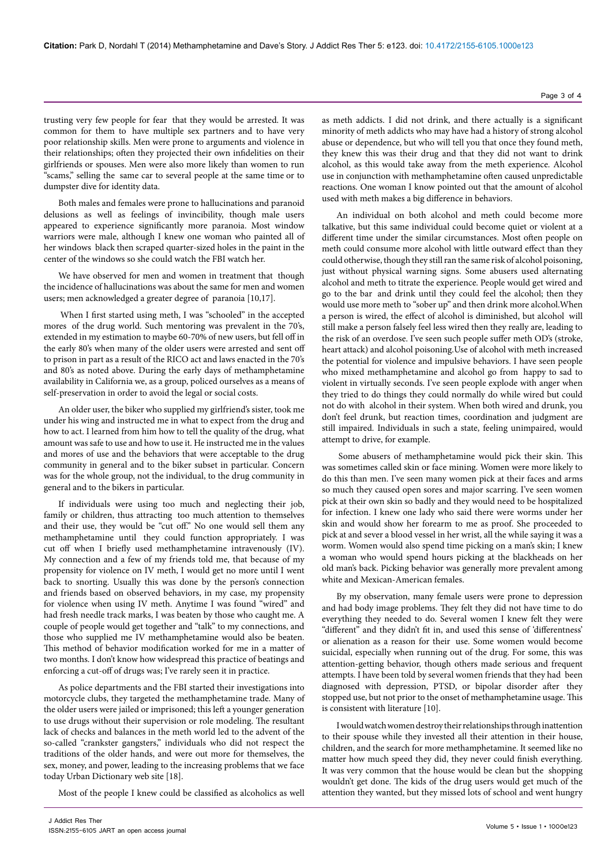trusting very few people for fear that they would be arrested. It was common for them to have multiple sex partners and to have very poor relationship skills. Men were prone to arguments and violence in their relationships; often they projected their own infidelities on their girlfriends or spouses. Men were also more likely than women to run "scams," selling the same car to several people at the same time or to dumpster dive for identity data.

Both males and females were prone to hallucinations and paranoid delusions as well as feelings of invincibility, though male users appeared to experience significantly more paranoia. Most window warriors were male, although I knew one woman who painted all of her windows black then scraped quarter-sized holes in the paint in the center of the windows so she could watch the FBI watch her.

We have observed for men and women in treatment that though the incidence of hallucinations was about the same for men and women users; men acknowledged a greater degree of paranoia [10,17].

When I first started using meth, I was "schooled" in the accepted mores of the drug world. Such mentoring was prevalent in the 70's, extended in my estimation to maybe 60-70% of new users, but fell off in the early 80's when many of the older users were arrested and sent off to prison in part as a result of the RICO act and laws enacted in the 70's and 80's as noted above. During the early days of methamphetamine availability in California we, as a group, policed ourselves as a means of self-preservation in order to avoid the legal or social costs.

An older user, the biker who supplied my girlfriend's sister, took me under his wing and instructed me in what to expect from the drug and how to act. I learned from him how to tell the quality of the drug, what amount was safe to use and how to use it. He instructed me in the values and mores of use and the behaviors that were acceptable to the drug community in general and to the biker subset in particular. Concern was for the whole group, not the individual, to the drug community in general and to the bikers in particular.

If individuals were using too much and neglecting their job, family or children, thus attracting too much attention to themselves and their use, they would be "cut off." No one would sell them any methamphetamine until they could function appropriately. I was cut off when I briefly used methamphetamine intravenously (IV). My connection and a few of my friends told me, that because of my propensity for violence on IV meth, I would get no more until I went back to snorting. Usually this was done by the person's connection and friends based on observed behaviors, in my case, my propensity for violence when using IV meth. Anytime I was found "wired" and had fresh needle track marks, I was beaten by those who caught me. A couple of people would get together and "talk" to my connections, and those who supplied me IV methamphetamine would also be beaten. This method of behavior modification worked for me in a matter of two months. I don't know how widespread this practice of beatings and enforcing a cut-off of drugs was; I've rarely seen it in practice.

As police departments and the FBI started their investigations into motorcycle clubs, they targeted the methamphetamine trade. Many of the older users were jailed or imprisoned; this left a younger generation to use drugs without their supervision or role modeling. The resultant lack of checks and balances in the meth world led to the advent of the so-called "crankster gangsters," individuals who did not respect the traditions of the older hands, and were out more for themselves, the sex, money, and power, leading to the increasing problems that we face today Urban Dictionary web site [18].

Most of the people I knew could be classified as alcoholics as well

J Addict Res Ther ISSN:2155-6105 JART an open access journal

as meth addicts. I did not drink, and there actually is a significant minority of meth addicts who may have had a history of strong alcohol abuse or dependence, but who will tell you that once they found meth, they knew this was their drug and that they did not want to drink alcohol, as this would take away from the meth experience. Alcohol use in conjunction with methamphetamine often caused unpredictable reactions. One woman I know pointed out that the amount of alcohol used with meth makes a big difference in behaviors.

An individual on both alcohol and meth could become more talkative, but this same individual could become quiet or violent at a different time under the similar circumstances. Most often people on meth could consume more alcohol with little outward effect than they could otherwise, though they still ran the same risk of alcohol poisoning, just without physical warning signs. Some abusers used alternating alcohol and meth to titrate the experience. People would get wired and go to the bar and drink until they could feel the alcohol; then they would use more meth to "sober up" and then drink more alcohol.When a person is wired, the effect of alcohol is diminished, but alcohol will still make a person falsely feel less wired then they really are, leading to the risk of an overdose. I've seen such people suffer meth OD's (stroke, heart attack) and alcohol poisoning.Use of alcohol with meth increased the potential for violence and impulsive behaviors. I have seen people who mixed methamphetamine and alcohol go from happy to sad to violent in virtually seconds. I've seen people explode with anger when they tried to do things they could normally do while wired but could not do with alcohol in their system. When both wired and drunk, you don't feel drunk, but reaction times, coordination and judgment are still impaired. Individuals in such a state, feeling unimpaired, would attempt to drive, for example.

Some abusers of methamphetamine would pick their skin. This was sometimes called skin or face mining. Women were more likely to do this than men. I've seen many women pick at their faces and arms so much they caused open sores and major scarring. I've seen women pick at their own skin so badly and they would need to be hospitalized for infection. I knew one lady who said there were worms under her skin and would show her forearm to me as proof. She proceeded to pick at and sever a blood vessel in her wrist, all the while saying it was a worm. Women would also spend time picking on a man's skin; I knew a woman who would spend hours picking at the blackheads on her old man's back. Picking behavior was generally more prevalent among white and Mexican-American females.

By my observation, many female users were prone to depression and had body image problems. They felt they did not have time to do everything they needed to do. Several women I knew felt they were "different" and they didn't fit in, and used this sense of 'differentness' or alienation as a reason for their use. Some women would become suicidal, especially when running out of the drug. For some, this was attention-getting behavior, though others made serious and frequent attempts. I have been told by several women friends that they had been diagnosed with depression, PTSD, or bipolar disorder after they stopped use, but not prior to the onset of methamphetamine usage. This is consistent with literature [10].

I would watch women destroy their relationships through inattention to their spouse while they invested all their attention in their house, children, and the search for more methamphetamine. It seemed like no matter how much speed they did, they never could finish everything. It was very common that the house would be clean but the shopping wouldn't get done. The kids of the drug users would get much of the attention they wanted, but they missed lots of school and went hungry